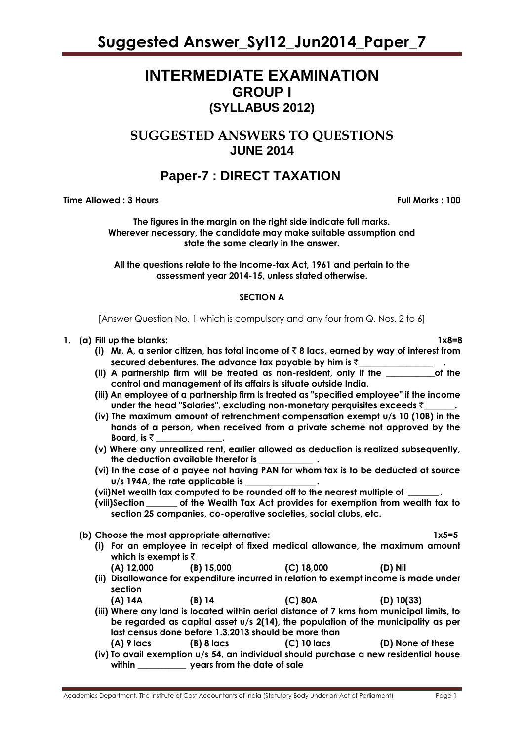# **INTERMEDIATE EXAMINATION GROUP I (SYLLABUS 2012)**

# **SUGGESTED ANSWERS TO QUESTIONS JUNE 2014**

# **Paper-7 : DIRECT TAXATION**

**Time Allowed : 3 Hours Full Marks : 100** 

**The figures in the margin on the right side indicate full marks. Wherever necessary, the candidate may make suitable assumption and state the same clearly in the answer.** 

**All the questions relate to the Income-tax Act, 1961 and pertain to the assessment year 2014-15, unless stated otherwise.**

# **SECTION A**

[Answer Question No. 1 which is compulsory and any four from Q. Nos. 2 to 6]

- **1. (a) Fill up the blanks: 1x8=8**
	- **(i) Mr. A, a senior citizen, has total income of** ` **8 lacs, earned by way of interest from secured debentures. The advance tax payable by him is** `**\_\_\_\_\_\_\_\_\_\_\_\_\_\_\_\_\_ .**
	- **(ii) A partnership firm will be treated as non-resident, only if the \_\_\_\_\_\_\_\_\_\_\_of the control and management of its affairs is situate outside India.**
	- **(iii) An employee of a partnership firm is treated as "specified employee" if the income under the head "Salaries", excluding non-monetary perquisites exceeds** `**\_\_\_\_\_\_\_.**
	- **(iv) The maximum amount of retrenchment compensation exempt u/s 10 (10B) in the hands of a person, when received from a private scheme not approved by the Board, is**  $\bar{z}$
	- **(v) Where any unrealized rent, earlier allowed as deduction is realized subsequently, the deduction available therefor is \_\_\_\_\_\_\_\_\_\_\_\_ .**
	- **(vi) In the case of a payee not having PAN for whom tax is to be deducted at source u/s 194A, the rate applicable is \_\_\_\_\_\_\_\_\_\_\_\_\_\_\_\_.**

**(vii)Net wealth tax computed to be rounded off to the nearest multiple of \_\_\_\_\_\_\_.**

- **(viii)Section \_\_\_\_\_\_\_ of the Wealth Tax Act provides for exemption from wealth tax to section 25 companies, co-operative societies, social clubs, etc.**
- **(b) Choose the most appropriate alternative: 1x5=5**
	- **(i) For an employee in receipt of fixed medical allowance, the maximum amount which is exempt is** `
	- **(A) 12,000 (B) 15,000 (C) 18,000 (D) Nil (ii) Disallowance for expenditure incurred in relation to exempt income is made under**
	- **section (A) 14A (B) 14 (C) 80A (D) 10(33)**
	- **(iii) Where any land is located within aerial distance of 7 kms from municipal limits, to be regarded as capital asset u/s 2(14), the population of the municipality as per last census done before 1.3.2013 should be more than (A) 9 lacs (B) 8 lacs (C) 10 lacs (D) None of these**
	- **(iv) To avail exemption u/s 54, an individual should purchase a new residential house within \_\_\_\_\_\_\_\_\_\_\_ years from the date of sale**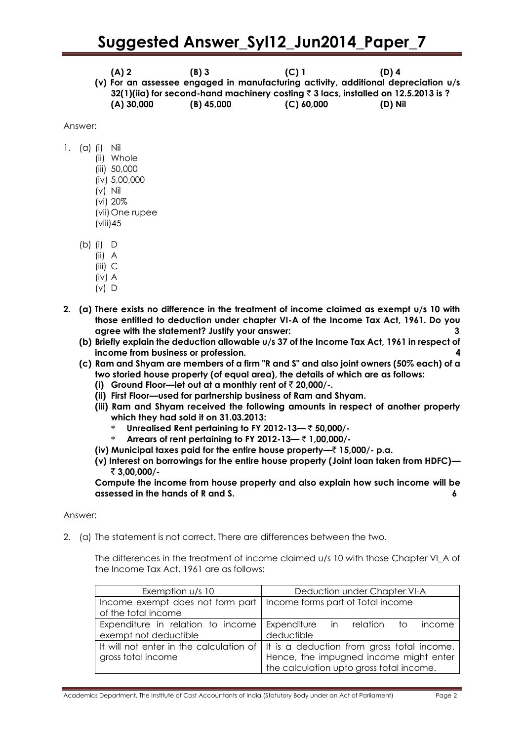**(A) 2 (B) 3 (C) 1 (D) 4 (v) For an assessee engaged in manufacturing activity, additional depreciation u/s 32(1)(iia) for second-hand machinery costing** ` **3 lacs, installed on 12.5.2013 is ? (A) 30,000 (B) 45,000 (C) 60,000 (D) Nil**

Answer:

- 1. (a) (i) Nil
	- (ii) Whole
		- (iii) 50,000
		- (iv) 5,00,000
		- (v) Nil
		- (vi) 20%
		- (vii)One rupee (viii)45
	- (b) (i) D
		- (ii) A
			- (iii) C
			- (iv) A
			- (v) D
- **2. (a) There exists no difference in the treatment of income claimed as exempt u/s 10 with those entitled to deduction under chapter VI-A of the Income Tax Act, 1961. Do you agree with the statement? Justify your answer: 3**
	- **(b) Briefly explain the deduction allowable u/s 37 of the Income Tax Act, 1961 in respect of income from business or profession. 4**
	- **(c) Ram and Shyam are members of a firm "R and S" and also joint owners (50% each) of a two storied house property (of equal area), the details of which are as follows:**
		- **(i) Ground Floor—let out at a monthly rent of** ` **20,000/-.**
		- **(ii) First Floor—used for partnership business of Ram and Shyam.**
		- **(iii) Ram and Shyam received the following amounts in respect of another property which they had sold it on 31.03.2013:**
			- \* **Unrealised Rent pertaining to FY 2012-13—** ` **50,000/-**
			- \* **Arrears of rent pertaining to FY 2012-13—** ` **1,00,000/-**
		- **(iv) Municipal taxes paid for the entire house property—**` **15,000/- p.a.**
		- **(v) Interest on borrowings for the entire house property (Joint loan taken from HDFC)—** ` **3,00,000/-**

**Compute the income from house property and also explain how such income will be assessed in the hands of R and S. 6**

# Answer:

2. (a) The statement is not correct. There are differences between the two.

The differences in the treatment of income claimed u/s 10 with those Chapter VI A of the Income Tax Act, 1961 are as follows:

| Exemption u/s 10                                                                            | Deduction under Chapter VI-A                                                                                                                                               |  |  |
|---------------------------------------------------------------------------------------------|----------------------------------------------------------------------------------------------------------------------------------------------------------------------------|--|--|
| Income exempt does not form part   Income forms part of Total income<br>of the total income |                                                                                                                                                                            |  |  |
| Expenditure in relation to income<br>exempt not deductible                                  | Expenditure in relation<br>income<br>tο<br>deductible                                                                                                                      |  |  |
| gross total income                                                                          | It will not enter in the calculation of   It is a deduction from gross total income.<br>Hence, the impugned income might enter<br>the calculation upto gross total income. |  |  |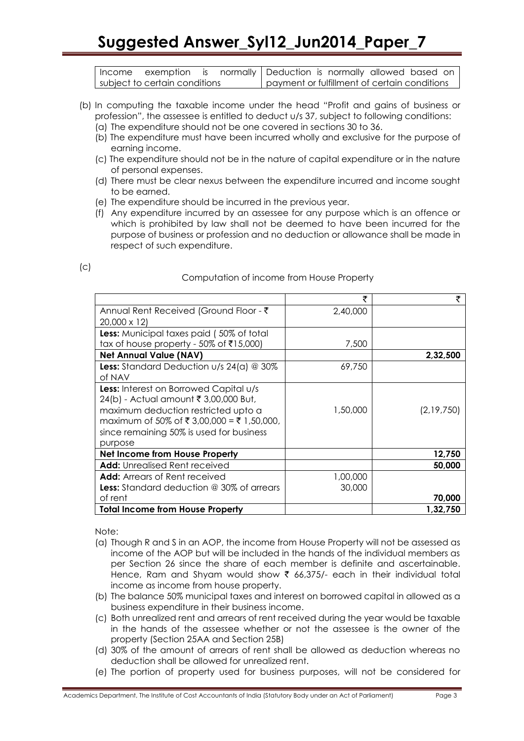| Income | exemption is normally Deduction is normally allowed based on |  |                                              |  |  |  |
|--------|--------------------------------------------------------------|--|----------------------------------------------|--|--|--|
|        | subject to certain conditions                                |  | payment or fulfillment of certain conditions |  |  |  |

- (b) In computing the taxable income under the head "Profit and gains of business or profession", the assessee is entitled to deduct u/s 37, subject to following conditions:
	- (a) The expenditure should not be one covered in sections 30 to 36.
	- (b) The expenditure must have been incurred wholly and exclusive for the purpose of earning income.
	- (c) The expenditure should not be in the nature of capital expenditure or in the nature of personal expenses.
	- (d) There must be clear nexus between the expenditure incurred and income sought to be earned.
	- (e) The expenditure should be incurred in the previous year.
	- (f) Any expenditure incurred by an assessee for any purpose which is an offence or which is prohibited by law shall not be deemed to have been incurred for the purpose of business or profession and no deduction or allowance shall be made in respect of such expenditure.

| ×<br>۰,<br>w<br>۰. |  | . .<br>۰,<br>$\sim$ |  |
|--------------------|--|---------------------|--|
|--------------------|--|---------------------|--|

# Computation of income from House Property

|                                                     | ₹        | ₹          |
|-----------------------------------------------------|----------|------------|
| Annual Rent Received (Ground Floor - ₹              | 2,40,000 |            |
| $20,000 \times 12$                                  |          |            |
| <b>Less:</b> Municipal taxes paid (50% of total     |          |            |
| tax of house property - 50% of ₹15,000)             | 7,500    |            |
| <b>Net Annual Value (NAV)</b>                       |          | 2,32,500   |
| <b>Less:</b> Standard Deduction $u/s$ 24(a) $@$ 30% | 69,750   |            |
| of NAV                                              |          |            |
| <b>Less:</b> Interest on Borrowed Capital u/s       |          |            |
| 24(b) - Actual amount ₹ 3,00,000 But,               |          |            |
| maximum deduction restricted upto a                 | 1,50,000 | (2,19,750) |
| maximum of 50% of ₹ 3,00,000 = ₹ 1,50,000,          |          |            |
| since remaining 50% is used for business            |          |            |
| purpose                                             |          |            |
| Net Income from House Property                      |          | 12,750     |
| <b>Add:</b> Unrealised Rent received                |          | 50,000     |
| <b>Add:</b> Arrears of Rent received                | 1,00,000 |            |
| <b>Less:</b> Standard deduction @ 30% of arrears    | 30,000   |            |
| of rent                                             |          | 70,000     |
| <b>Total Income from House Property</b>             |          | 1,32,750   |

Note:

- (a) Though R and S in an AOP, the income from House Property will not be assessed as income of the AOP but will be included in the hands of the individual members as per Section 26 since the share of each member is definite and ascertainable. Hence, Ram and Shyam would show  $\bar{\tau}$  66,375/- each in their individual total income as income from house property.
- (b) The balance 50% municipal taxes and interest on borrowed capital in allowed as a business expenditure in their business income.
- (c) Both unrealized rent and arrears of rent received during the year would be taxable in the hands of the assessee whether or not the assessee is the owner of the property (Section 25AA and Section 25B)
- (d) 30% of the amount of arrears of rent shall be allowed as deduction whereas no deduction shall be allowed for unrealized rent.
- (e) The portion of property used for business purposes, will not be considered for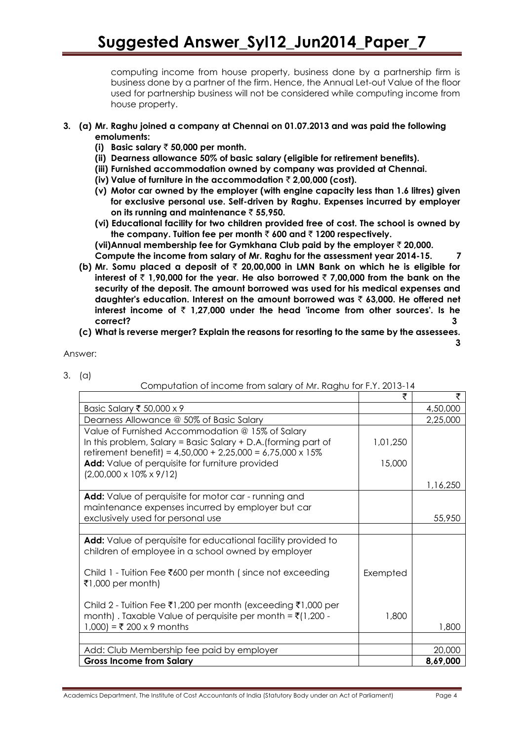computing income from house property, business done by a partnership firm is business done by a partner of the firm. Hence, the Annual Let-out Value of the floor used for partnership business will not be considered while computing income from house property.

- **3. (a) Mr. Raghu joined a company at Chennai on 01.07.2013 and was paid the following emoluments:**
	- **(i) Basic salary** ` **50,000 per month.**
	- **(ii) Dearness allowance 50% of basic salary (eligible for retirement benefits).**
	- **(iii) Furnished accommodation owned by company was provided at Chennai.**
	- **(iv) Value of furniture in the accommodation** ` **2,00,000 (cost).**
	- **(v) Motor car owned by the employer (with engine capacity less than 1.6 litres) given for exclusive personal use. Self-driven by Raghu. Expenses incurred by employer on its running and maintenance** ` **55,950.**
	- **(vi) Educational facility for two children provided free of cost. The school is owned by**  the company. Tuition fee per month  $\bar{\tau}$  600 and  $\bar{\tau}$  1200 respectively.

**(vii)Annual membership fee for Gymkhana Club paid by the employer** ` **20,000. Compute the income from salary of Mr. Raghu for the assessment year 2014-15. 7**

- **(b) Mr. Somu placed a deposit of** ` **20,00,000 in LMN Bank on which he is eligible for interest of**  $\bar{\tau}$  **1,90,000 for the year. He also borrowed**  $\bar{\tau}$  **7,00,000 from the bank on the security of the deposit. The amount borrowed was used for his medical expenses and daughter's education. Interest on the amount borrowed was** ` **63,000. He offered net**  interest income of  $\bar{\tau}$  1,27,000 under the head 'income from other sources'. Is he **correct? 3**
- **(c) What is reverse merger? Explain the reasons for resorting to the same by the assessees.**

Answer:

3. (a)

Computation of income from salary of Mr. Raghu for F.Y. 2013-14

|                                                                                                                                                                                          | ₹        | ₹        |
|------------------------------------------------------------------------------------------------------------------------------------------------------------------------------------------|----------|----------|
| Basic Salary ₹ 50,000 x 9                                                                                                                                                                |          | 4,50,000 |
| Dearness Allowance @ 50% of Basic Salary                                                                                                                                                 |          | 2,25,000 |
| Value of Furnished Accommodation @ 15% of Salary<br>In this problem, Salary = Basic Salary + D.A. (forming part of<br>retirement benefit) = $4,50,000 + 2,25,000 = 6,75,000 \times 15\%$ | 1,01,250 |          |
| Add: Value of perquisite for furniture provided<br>$(2,00,000 \times 10\% \times 9/12)$                                                                                                  | 15,000   |          |
|                                                                                                                                                                                          |          | 1,16,250 |
| <b>Add:</b> Value of perquisite for motor car - running and<br>maintenance expenses incurred by employer but car                                                                         |          |          |
| exclusively used for personal use                                                                                                                                                        |          | 55,950   |
|                                                                                                                                                                                          |          |          |
| Add: Value of perquisite for educational facility provided to<br>children of employee in a school owned by employer                                                                      |          |          |
| Child 1 - Tuition Fee ₹600 per month (since not exceeding<br>₹1,000 per month)                                                                                                           | Exempted |          |
| Child 2 - Tuition Fee ₹1,200 per month (exceeding ₹1,000 per<br>month). Taxable Value of perquisite per month = $\bar{\tau}$ (1,200 -<br>1,000) = ₹ 200 x 9 months                       | 1,800    | 1,800    |
|                                                                                                                                                                                          |          |          |
| Add: Club Membership fee paid by employer                                                                                                                                                |          | 20,000   |
| <b>Gross Income from Salary</b>                                                                                                                                                          |          | 8,69,000 |

**3**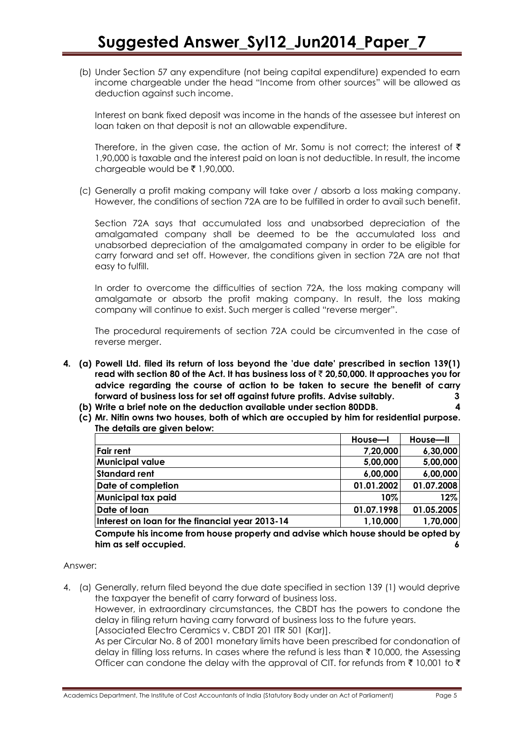(b) Under Section 57 any expenditure (not being capital expenditure) expended to earn income chargeable under the head "Income from other sources" will be allowed as deduction against such income.

Interest on bank fixed deposit was income in the hands of the assessee but interest on loan taken on that deposit is not an allowable expenditure.

Therefore, in the given case, the action of Mr. Somu is not correct; the interest of  $\bar{\tau}$ 1,90,000 is taxable and the interest paid on loan is not deductible. In result, the income chargeable would be  $\bar{\tau}$  1,90,000.

(c) Generally a profit making company will take over / absorb a loss making company. However, the conditions of section 72A are to be fulfilled in order to avail such benefit.

Section 72A says that accumulated loss and unabsorbed depreciation of the amalgamated company shall be deemed to be the accumulated loss and unabsorbed depreciation of the amalgamated company in order to be eligible for carry forward and set off. However, the conditions given in section 72A are not that easy to fulfill.

In order to overcome the difficulties of section 72A, the loss making company will amalgamate or absorb the profit making company. In result, the loss making company will continue to exist. Such merger is called "reverse merger".

The procedural requirements of section 72A could be circumvented in the case of reverse merger.

- **4. (a) Powell Ltd. filed its return of loss beyond the 'due date' prescribed in section 139(1) read with section 80 of the Act. It has business loss of** ` **20,50,000. It approaches you for advice regarding the course of action to be taken to secure the benefit of carry forward of business loss for set off against future profits. Advise suitably. 3**
	- **(b) Write a brief note on the deduction available under section 80DDB. 4**
	- **(c) Mr. Nitin owns two houses, both of which are occupied by him for residential purpose. The details are given below:**

|                                                                                  | House-I    | House-II   |
|----------------------------------------------------------------------------------|------------|------------|
| <b>Fair rent</b>                                                                 | 7,20,000   | 6,30,000   |
| <b>Municipal value</b>                                                           | 5,00,000   | 5,00,000   |
| <b>Standard rent</b>                                                             | 6,00,000   | 6,00,000   |
| Date of completion                                                               | 01.01.2002 | 01.07.2008 |
| Municipal tax paid                                                               | 10%        | 12%        |
| Date of loan                                                                     | 01.07.1998 | 01.05.2005 |
| Interest on loan for the financial year 2013-14                                  | 1,10,000   | 1,70,000   |
| Compute his income from house property and advise which house should be opted by |            |            |
| him as self occupied.                                                            |            |            |

# Answer:

4. (a) Generally, return filed beyond the due date specified in section 139 (1) would deprive the taxpayer the benefit of carry forward of business loss.

However, in extraordinary circumstances, the CBDT has the powers to condone the delay in filing return having carry forward of business loss to the future years.

[Associated Electro Ceramics v. CBDT 201 ITR 501 (Kar)].

As per Circular No. 8 of 2001 monetary limits have been prescribed for condonation of delay in filling loss returns. In cases where the refund is less than  $\bar{\tau}$  10,000, the Assessing Officer can condone the delay with the approval of CIT, for refunds from  $\bar{\tau}$  10,001 to  $\bar{\tau}$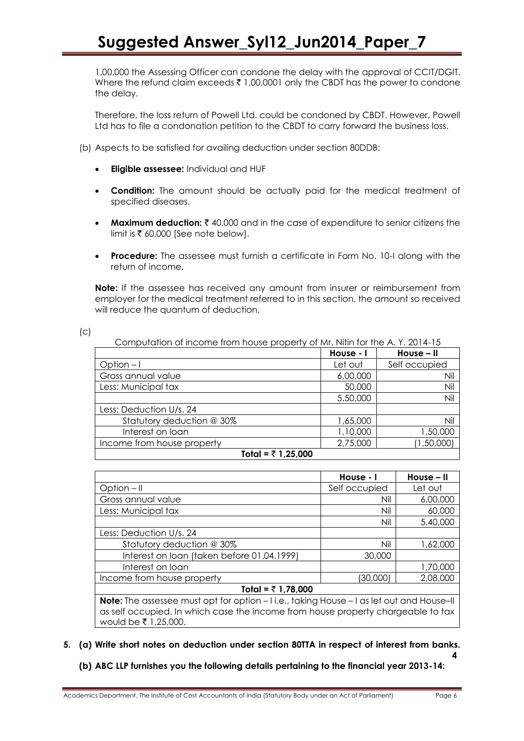1,00,000 the Assessing Officer can condone the delay with the approval of CCIT/DGIT. Where the refund claim exceeds  $\bar{\tau}$  1,00,0001 only the CBDT has the power to condone the delay.

Therefore, the loss return of Powell Ltd. could be condoned by CBDT. However, Powell Ltd has to file a condonation petition to the CBDT to carry forward the business loss.

(b) Aspects to be satisfied for availing deduction under section 80DDB:

- **Eligible assessee:** Individual and HUF
- **Condition:** The amount should be actually paid for the medical treatment of specified diseases.
- **Maximum deduction:** ₹40,000 and in the case of expenditure to senior citizens the limit is  $\bar{\tau}$  60,000 [See note below].
- **Procedure:** The assessee must furnish a certificate in Form No. 10-I along with the return of income.

**Note:** If the assessee has received any amount from insurer or reimbursement from employer for the medical treatment referred to in this section, the amount so received will reduce the quantum of deduction.

| . .<br>۰,<br>v<br>×<br>۰,<br>w<br>۰. |  |
|--------------------------------------|--|
|                                      |  |

| Computation of income from house property of Mr. Nitin for the A.Y. 2014-15 |           |               |  |  |
|-----------------------------------------------------------------------------|-----------|---------------|--|--|
|                                                                             | House - I | House - II    |  |  |
| Option $-1$                                                                 | Let out   | Self occupied |  |  |
| Gross annual value                                                          | 6,00,000  | Nil           |  |  |
| Less: Municipal tax                                                         | 50,000    | Nil           |  |  |
|                                                                             | 5.50,000  | Nil           |  |  |
| Less: Deduction U/s. 24                                                     |           |               |  |  |
| Statutory deduction @ 30%                                                   | 1,65,000  | Nil           |  |  |
| Interest on loan                                                            | 1,10,000  | 1,50,000      |  |  |
| Income from house property                                                  | 2,75,000  | (1,50,000)    |  |  |
| Total = ₹ 1,25,000                                                          |           |               |  |  |

|                                                                                                    | House - I     | House - II |  |  |
|----------------------------------------------------------------------------------------------------|---------------|------------|--|--|
| Option $-$ II                                                                                      | Self occupied | Let out    |  |  |
| Gross annual value                                                                                 | Nil           | 6,00,000   |  |  |
| Less: Municipal tax                                                                                | Nil           | 60,000     |  |  |
|                                                                                                    | Nil           | 5,40,000   |  |  |
| Less: Deduction U/s. 24                                                                            |               |            |  |  |
| Statutory deduction @ 30%                                                                          | Nil           | 1,62,000   |  |  |
| Interest on loan (taken before 01.04.1999)                                                         | 30,000        |            |  |  |
| Interest on loan                                                                                   |               | 1,70,000   |  |  |
| Income from house property                                                                         | (30,000)      | 2,08,000   |  |  |
| Total = $\overline{z}$ 1,78,000                                                                    |               |            |  |  |
| <b>Note:</b> The assessee must opt for option $-1$ i.e., taking House $-1$ as let out and House-II |               |            |  |  |

**Note:** The assessee must opt for option – I i.e., taking House – I as let out and House–II as self occupied. In which case the income from house property chargeable to tax would be  $\bar{z}$  1,25,000.

# **5. (a) Write short notes on deduction under section 80TTA in respect of interest from banks.**

**(b) ABC LLP furnishes you the following details pertaining to the financial year 2013-14:**

 **4**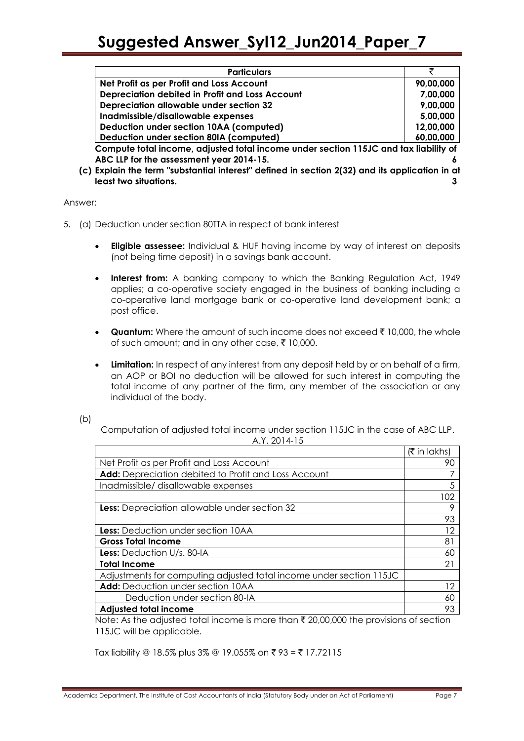| <b>Particulars</b>                                                                             |           |
|------------------------------------------------------------------------------------------------|-----------|
| Net Profit as per Profit and Loss Account                                                      | 90,00,000 |
| Depreciation debited in Profit and Loss Account                                                | 7,00,000  |
| Depreciation allowable under section 32                                                        | 9,00,000  |
| Inadmissible/disallowable expenses                                                             | 5,00,000  |
| Deduction under section 10AA (computed)                                                        | 12,00,000 |
| Deduction under section 80IA (computed)                                                        | 60,00,000 |
| Compute total income, adjusted total income under section 115JC and tax liability of           |           |
| ABC LLP for the assessment year 2014-15.                                                       |           |
| (c) Explain the term "substantial interest" defined in section 2(32) and its application in at |           |
| least two situations.                                                                          |           |

Answer:

- 5. (a) Deduction under section 80TTA in respect of bank interest
	- **Eligible assessee:** Individual & HUF having income by way of interest on deposits (not being time deposit) in a savings bank account.
	- **Interest from:** A banking company to which the Banking Regulation Act, 1949 applies; a co-operative society engaged in the business of banking including a co-operative land mortgage bank or co-operative land development bank; a post office.
	- **Quantum:** Where the amount of such income does not exceed  $\bar{\tau}$  10,000, the whole of such amount; and in any other case,  $\bar{\tau}$  10,000.
	- **Limitation:** In respect of any interest from any deposit held by or on behalf of a firm, an AOP or BOI no deduction will be allowed for such interest in computing the total income of any partner of the firm, any member of the association or any individual of the body.

(b)

Computation of adjusted total income under section 115JC in the case of ABC LLP. A.Y. 2014-15

|                                                                     | (₹ in lakhs) |
|---------------------------------------------------------------------|--------------|
| Net Profit as per Profit and Loss Account                           | 90           |
| Add: Depreciation debited to Profit and Loss Account                |              |
| Inadmissible/ disallowable expenses                                 | 5            |
|                                                                     | 102          |
| <b>Less:</b> Depreciation allowable under section 32                | 9            |
|                                                                     | 93           |
| Less: Deduction under section 10AA                                  | 12           |
| <b>Gross Total Income</b>                                           | 81           |
| <b>Less:</b> Deduction U/s. 80-IA                                   | 60           |
| <b>Total Income</b>                                                 | 21           |
| Adjustments for computing adjusted total income under section 115JC |              |
| Add: Deduction under section 10AA                                   | 12           |
| Deduction under section 80-IA                                       | 60           |
| <b>Adjusted total income</b>                                        | 93           |

Note: As the adjusted total income is more than  $\bar{\tau}$  20,00,000 the provisions of section 115JC will be applicable.

Tax liability @ 18.5% plus 3% @ 19.055% on ₹ 93 = ₹ 17.72115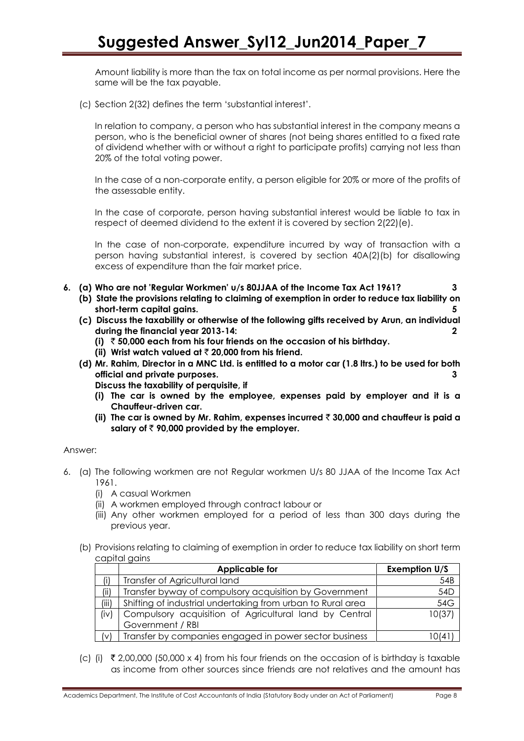Amount liability is more than the tax on total income as per normal provisions. Here the same will be the tax payable.

(c) Section 2(32) defines the term "substantial interest".

In relation to company, a person who has substantial interest in the company means a person, who is the beneficial owner of shares (not being shares entitled to a fixed rate of dividend whether with or without a right to participate profits) carrying not less than 20% of the total voting power.

In the case of a non-corporate entity, a person eligible for 20% or more of the profits of the assessable entity.

In the case of corporate, person having substantial interest would be liable to tax in respect of deemed dividend to the extent it is covered by section 2(22)(e).

In the case of non-corporate, expenditure incurred by way of transaction with a person having substantial interest, is covered by section 40A(2)(b) for disallowing excess of expenditure than the fair market price.

- **6. (a) Who are not 'Regular Workmen' u/s 80JJAA of the Income Tax Act 1961? 3**
	- **(b) State the provisions relating to claiming of exemption in order to reduce tax liability on short-term capital gains. 5**
	- **(c) Discuss the taxability or otherwise of the following gifts received by Arun, an individual during the financial year 2013-14: 2**
		- **(i)** ` **50,000 each from his four friends on the occasion of his birthday.**
		- **(ii) Wrist watch valued at** ` **20,000 from his friend.**
	- **(d) Mr. Rahim, Director in a MNC Ltd. is entitled to a motor car (1.8 ltrs.) to be used for both official and private purposes. 3**

**Discuss the taxability of perquisite, if**

- **(i) The car is owned by the employee, expenses paid by employer and it is a Chauffeur-driven car.**
- **(ii) The car is owned by Mr. Rahim, expenses incurred** ` **30,000 and chauffeur is paid a salary of** ` **90,000 provided by the employer.**

# Answer:

- 6. (a) The following workmen are not Regular workmen U/s 80 JJAA of the Income Tax Act 1961.
	- (i) A casual Workmen
	- (ii) A workmen employed through contract labour or
	- (iii) Any other workmen employed for a period of less than 300 days during the previous year.
	- (b) Provisions relating to claiming of exemption in order to reduce tax liability on short term capital gains

|       | <b>Applicable for</b>                                       | <b>Exemption U/S</b> |
|-------|-------------------------------------------------------------|----------------------|
| (i)   | Transfer of Agricultural land                               | 54B                  |
| (ii)  | Transfer byway of compulsory acquisition by Government      | 54D                  |
| (iii) | Shifting of industrial undertaking from urban to Rural area | 54G                  |
| (iv)  | Compulsory acquisition of Agricultural land by Central      | 10(37)               |
|       | Government / RBI                                            |                      |
| (v)   | Transfer by companies engaged in power sector business      | 0(4)                 |

(c) (i)  $\bar{\tau}$  2,00,000 (50,000 x 4) from his four friends on the occasion of is birthday is taxable as income from other sources since friends are not relatives and the amount has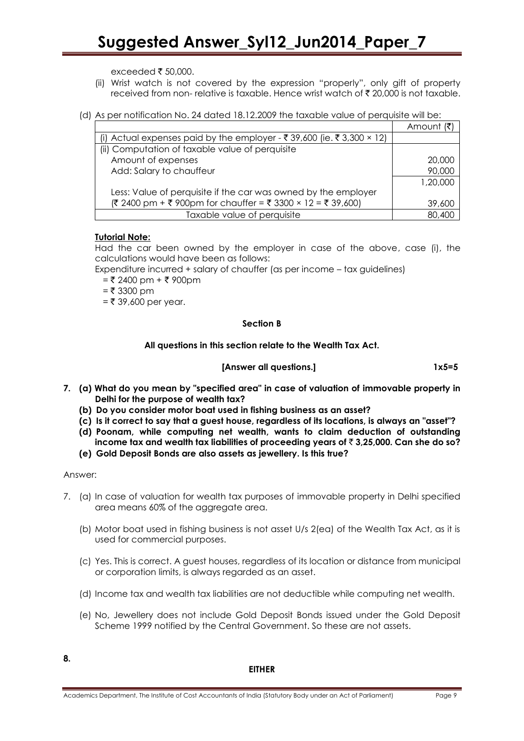exceeded  $\bar{\bar{\xi}}$  50,000.

- (ii) Wrist watch is not covered by the expression "properly", only gift of property received from non- relative is taxable. Hence wrist watch of  $\bar{\xi}$  20,000 is not taxable.
- (d) As per notification No. 24 dated 18.12.2009 the taxable value of perquisite will be:

|                                                                        | Amount   |
|------------------------------------------------------------------------|----------|
| (i) Actual expenses paid by the employer - ₹ 39,600 (ie. ₹ 3,300 × 12) |          |
| (ii) Computation of taxable value of perquisite                        |          |
| Amount of expenses                                                     | 20,000   |
| Add: Salary to chauffeur                                               | 90,000   |
|                                                                        | 1,20,000 |
| Less: Value of perquisite if the car was owned by the employer         |          |
| $(3, 2400)$ pm + ₹ 900pm for chauffer = ₹ 3300 × 12 = ₹ 39,600)        | 39,600   |
| Taxable value of perquisite                                            | 80,400   |

# **Tutorial Note:**

Had the car been owned by the employer in case of the above, case (i), the calculations would have been as follows:

Expenditure incurred + salary of chauffer (as per income – tax guidelines)

 $=$  ₹ 2400 pm + ₹ 900pm

 $=$  ₹ 3300 pm

 $=$  ₹ 39,600 per year.

# **Section B**

# **All questions in this section relate to the Wealth Tax Act.**

# **[Answer all questions.] 1x5=5**

- **7. (a) What do you mean by "specified area" in case of valuation of immovable property in Delhi for the purpose of wealth tax?**
	- **(b) Do you consider motor boat used in fishing business as an asset?**
	- **(c) Is it correct to say that a guest house, regardless of its locations, is always an "asset"?**
	- **(d) Poonam, while computing net wealth, wants to claim deduction of outstanding income tax and wealth tax liabilities of proceeding years of** ` **3,25,000. Can she do so?**
	- **(e) Gold Deposit Bonds are also assets as jewellery. Is this true?**

# Answer:

- 7. (a) In case of valuation for wealth tax purposes of immovable property in Delhi specified area means 60% of the aggregate area.
	- (b) Motor boat used in fishing business is not asset U/s 2(ea) of the Wealth Tax Act, as it is used for commercial purposes.
	- (c) Yes. This is correct. A guest houses, regardless of its location or distance from municipal or corporation limits, is always regarded as an asset.
	- (d) Income tax and wealth tax liabilities are not deductible while computing net wealth.
	- (e) No, Jewellery does not include Gold Deposit Bonds issued under the Gold Deposit Scheme 1999 notified by the Central Government. So these are not assets.

#### **EITHER**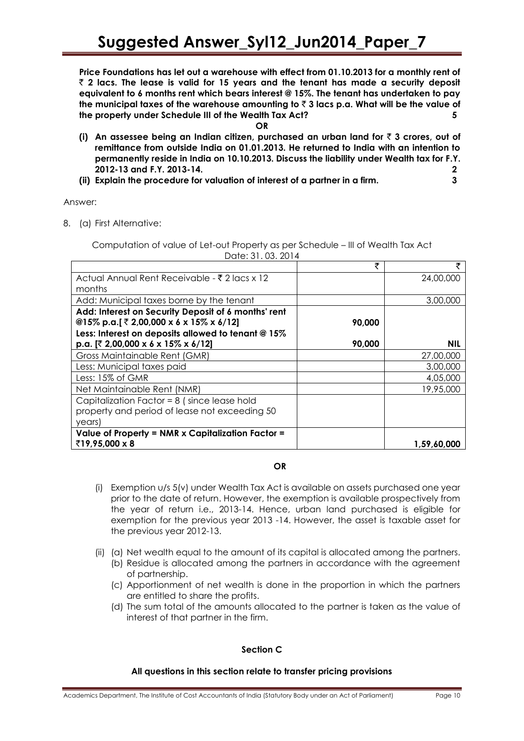**Price Foundations has let out a warehouse with effect from 01.10.2013 for a monthly rent of** ` **2 lacs. The lease is valid for 15 years and the tenant has made a security deposit equivalent to 6 months rent which bears interest @ 15%. The tenant has undertaken to pay the municipal taxes of the warehouse amounting to** ` **3 lacs p.a. What will be the value of the property under Schedule III of the Wealth Tax Act? 5**

**OR**

- **(i) An assessee being an Indian citizen, purchased an urban land for** ` **3 crores, out of remittance from outside India on 01.01.2013. He returned to India with an intention to permanently reside in India on 10.10.2013. Discuss the liability under Wealth tax for F.Y. 2012-13 and F.Y. 2013-14. 2**
- **(ii) Explain the procedure for valuation of interest of a partner in a firm. 3**

Answer:

8. (a) First Alternative:

Computation of value of Let-out Property as per Schedule – III of Wealth Tax Act Date: 31. 03. 2014

|                                                       | ₹      | ₹           |
|-------------------------------------------------------|--------|-------------|
| Actual Annual Rent Receivable - ₹ 2 lacs x 12         |        | 24,00,000   |
| months                                                |        |             |
| Add: Municipal taxes borne by the tenant              |        | 3,00,000    |
| Add: Interest on Security Deposit of 6 months' rent   |        |             |
| @15% p.a.[ $\bar{z}$ 2,00,000 x 6 x 15% x 6/12]       | 90,000 |             |
| Less: Interest on deposits allowed to tenant @ 15%    |        |             |
| p.a. $[7, 2,00,000 \times 6 \times 15\% \times 6/12]$ | 90,000 | NIL         |
| Gross Maintainable Rent (GMR)                         |        | 27,00,000   |
| Less: Municipal taxes paid                            |        | 3,00,000    |
| Less: 15% of GMR                                      |        | 4,05,000    |
| Net Maintainable Rent (NMR)                           |        | 19,95,000   |
| Capitalization Factor = $8$ (since lease hold         |        |             |
| property and period of lease not exceeding 50         |        |             |
| years)                                                |        |             |
| Value of Property = NMR x Capitalization Factor =     |        |             |
| ₹19,95,000 x 8                                        |        | 1,59,60,000 |

# **OR**

- (i) Exemption u/s 5(v) under Wealth Tax Act is available on assets purchased one year prior to the date of return. However, the exemption is available prospectively from the year of return i.e., 2013-14. Hence, urban land purchased is eligible for exemption for the previous year 2013 -14. However, the asset is taxable asset for the previous year 2012-13.
- (ii) (a) Net wealth equal to the amount of its capital is allocated among the partners.
	- (b) Residue is allocated among the partners in accordance with the agreement of partnership.
	- (c) Apportionment of net wealth is done in the proportion in which the partners are entitled to share the profits.
	- (d) The sum total of the amounts allocated to the partner is taken as the value of interest of that partner in the firm.

# **Section C**

# **All questions in this section relate to transfer pricing provisions**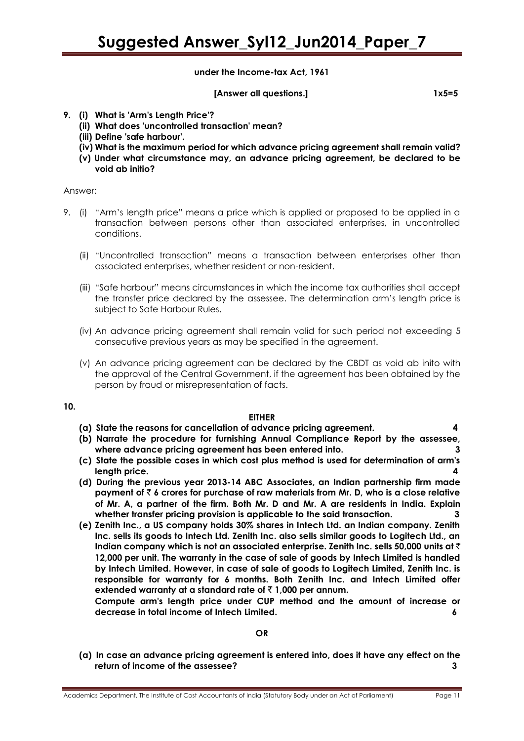**under the Income-tax Act, 1961**

**[Answer all questions.] 1x5=5**

- **9. (i) What is 'Arm's Length Price'?** 
	- **(ii) What does 'uncontrolled transaction' mean?**
	- **(iii) Define 'safe harbour'.**
	- **(iv) What is the maximum period for which advance pricing agreement shall remain valid?**
	- **(v) Under what circumstance may, an advance pricing agreement, be declared to be void ab initio?**

#### Answer:

- 9. (i) "Arm"s length price" means a price which is applied or proposed to be applied in a transaction between persons other than associated enterprises, in uncontrolled conditions.
	- (ii) "Uncontrolled transaction" means a transaction between enterprises other than associated enterprises, whether resident or non-resident.
	- (iii) "Safe harbour" means circumstances in which the income tax authorities shall accept the transfer price declared by the assessee. The determination arm"s length price is subject to Safe Harbour Rules.
	- (iv) An advance pricing agreement shall remain valid for such period not exceeding 5 consecutive previous years as may be specified in the agreement.
	- (v) An advance pricing agreement can be declared by the CBDT as void ab inito with the approval of the Central Government, if the agreement has been obtained by the person by fraud or misrepresentation of facts.

# **10.**

# **EITHER**

- **(a) State the reasons for cancellation of advance pricing agreement. 4**
- **(b) Narrate the procedure for furnishing Annual Compliance Report by the assessee, where advance pricing agreement has been entered into. 3**
- **(c) State the possible cases in which cost plus method is used for determination of arm's length price. 4**
- **(d) During the previous year 2013-14 ABC Associates, an Indian partnership firm made payment of** ` **6 crores for purchase of raw materials from Mr. D, who is a close relative of Mr. A, a partner of the firm. Both Mr. D and Mr. A are residents in India. Explain whether transfer pricing provision is applicable to the said transaction. 3**
- **(e) Zenith Inc., a US company holds 30% shares in Intech Ltd. an Indian company. Zenith Inc. sells its goods to Intech Ltd. Zenith Inc. also sells similar goods to Logitech Ltd., an Indian company which is not an associated enterprise. Zenith Inc. sells 50,000 units at** ` **12,000 per unit. The warranty in the case of sale of goods by Intech Limited is handled by Intech Limited. However, in case of sale of goods to Logitech Limited, Zenith Inc. is responsible for warranty for 6 months. Both Zenith Inc. and Intech Limited offer**  extended warranty at a standard rate of  $\bar{\tau}$  1,000 per annum.

**Compute arm's length price under CUP method and the amount of increase or decrease in total income of Intech Limited. 6**

# **OR**

**(a) In case an advance pricing agreement is entered into, does it have any effect on the return of income of the assessee? 3**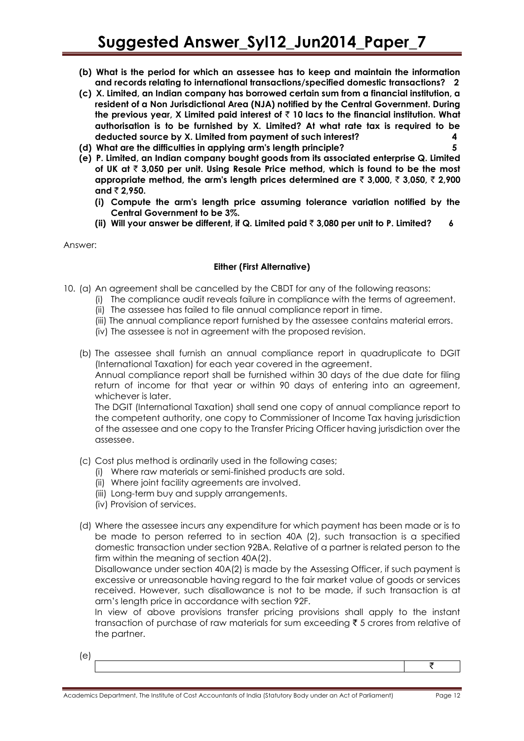- **(b) What is the period for which an assessee has to keep and maintain the information and records relating to international transactions/specified domestic transactions? 2**
- **(c) X. Limited, an Indian company has borrowed certain sum from a financial institution, a resident of a Non Jurisdictional Area (NJA) notified by the Central Government. During the previous year, X Limited paid interest of** ` **10 lacs to the financial institution. What authorisation is to be furnished by X. Limited? At what rate tax is required to be deducted source by X. Limited from payment of such interest? 4**
- **(d) What are the difficulties in applying arm's length principle? 5**
- **(e) P. Limited, an Indian company bought goods from its associated enterprise Q. Limited of UK at** ` **3,050 per unit. Using Resale Price method, which is found to be the most appropriate method, the arm's length prices determined are** ` **3,000,** ` **3,050,** ` **2,900**   $and \; 2.950.$ 
	- **(i) Compute the arm's length price assuming tolerance variation notified by the Central Government to be 3%.**
	- **(ii) Will your answer be different, if Q. Limited paid** ` **3,080 per unit to P. Limited? 6**

Answer:

# **Either (First Alternative)**

- 10. (a) An agreement shall be cancelled by the CBDT for any of the following reasons:
	- (i) The compliance audit reveals failure in compliance with the terms of agreement. (ii) The assessee has failed to file annual compliance report in time.
	- (iii) The annual compliance report furnished by the assessee contains material errors.
	- (iv) The assessee is not in agreement with the proposed revision.
	- (b) The assessee shall furnish an annual compliance report in quadruplicate to DGIT (International Taxation) for each year covered in the agreement.

Annual compliance report shall be furnished within 30 days of the due date for filing return of income for that year or within 90 days of entering into an agreement, whichever is later.

The DGIT (International Taxation) shall send one copy of annual compliance report to the competent authority, one copy to Commissioner of Income Tax having jurisdiction of the assessee and one copy to the Transfer Pricing Officer having jurisdiction over the assessee.

- (c) Cost plus method is ordinarily used in the following cases;
	- (i) Where raw materials or semi-finished products are sold.
	- (ii) Where joint facility agreements are involved.
	- (iii) Long-term buy and supply arrangements.
	- (iv) Provision of services.
- (d) Where the assessee incurs any expenditure for which payment has been made or is to be made to person referred to in section 40A (2), such transaction is a specified domestic transaction under section 92BA. Relative of a partner is related person to the firm within the meaning of section 40A(2).

Disallowance under section 40A(2) is made by the Assessing Officer, if such payment is excessive or unreasonable having regard to the fair market value of goods or services received. However, such disallowance is not to be made, if such transaction is at arm"s length price in accordance with section 92F.

In view of above provisions transfer pricing provisions shall apply to the instant transaction of purchase of raw materials for sum exceeding  $\bar{\tau}$  5 crores from relative of the partner.

(e)

₹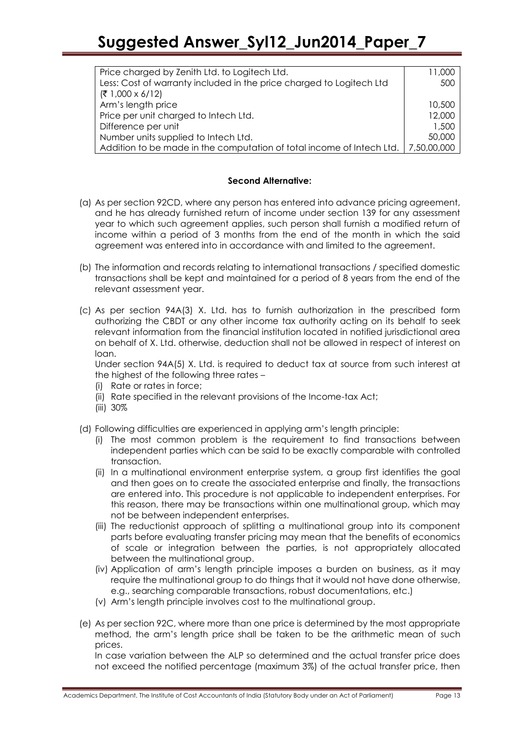| Price charged by Zenith Ltd. to Logitech Ltd.                         | 11.000      |
|-----------------------------------------------------------------------|-------------|
| Less: Cost of warranty included in the price charged to Logitech Ltd  | 500         |
| $(71,000 \times 6/12)$                                                |             |
| Arm's length price                                                    | 10,500      |
| Price per unit charged to Intech Ltd.                                 | 12,000      |
| Difference per unit                                                   | 1,500       |
| Number units supplied to Intech Ltd.                                  | 50,000      |
| Addition to be made in the computation of total income of Intech Ltd. | 7,50,00,000 |

#### **Second Alternative:**

- (a) As per section 92CD, where any person has entered into advance pricing agreement, and he has already furnished return of income under section 139 for any assessment year to which such agreement applies, such person shall furnish a modified return of income within a period of 3 months from the end of the month in which the said agreement was entered into in accordance with and limited to the agreement.
- (b) The information and records relating to international transactions / specified domestic transactions shall be kept and maintained for a period of 8 years from the end of the relevant assessment year.
- (c) As per section 94A(3) X. Ltd. has to furnish authorization in the prescribed form authorizing the CBDT or any other income tax authority acting on its behalf to seek relevant information from the financial institution located in notified jurisdictional area on behalf of X. Ltd. otherwise, deduction shall not be allowed in respect of interest on loan.

Under section 94A(5) X. Ltd. is required to deduct tax at source from such interest at the highest of the following three rates –

- (i) Rate or rates in force;
- (ii) Rate specified in the relevant provisions of the Income-tax Act;
- (iii) 30%
- (d) Following difficulties are experienced in applying arm"s length principle:
	- (i) The most common problem is the requirement to find transactions between independent parties which can be said to be exactly comparable with controlled transaction.
	- (ii) In a multinational environment enterprise system, a group first identifies the goal and then goes on to create the associated enterprise and finally, the transactions are entered into. This procedure is not applicable to independent enterprises. For this reason, there may be transactions within one multinational group, which may not be between independent enterprises.
	- (iii) The reductionist approach of splitting a multinational group into its component parts before evaluating transfer pricing may mean that the benefits of economics of scale or integration between the parties, is not appropriately allocated between the multinational group.
	- (iv) Application of arm"s length principle imposes a burden on business, as it may require the multinational group to do things that it would not have done otherwise, e.g., searching comparable transactions, robust documentations, etc.)
	- (v) Arm"s length principle involves cost to the multinational group.
- (e) As per section 92C, where more than one price is determined by the most appropriate method, the arm"s length price shall be taken to be the arithmetic mean of such prices.

In case variation between the ALP so determined and the actual transfer price does not exceed the notified percentage (maximum 3%) of the actual transfer price, then